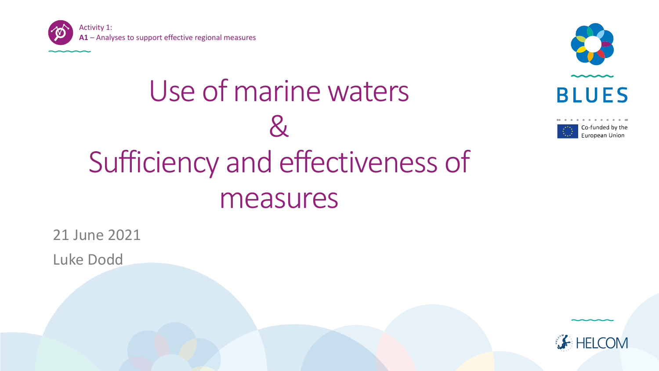

# Use of marine waters  $\mathcal{R}_{\lambda}$ Sufficiency and effectiveness of measures





21 June 2021

Luke Dodd

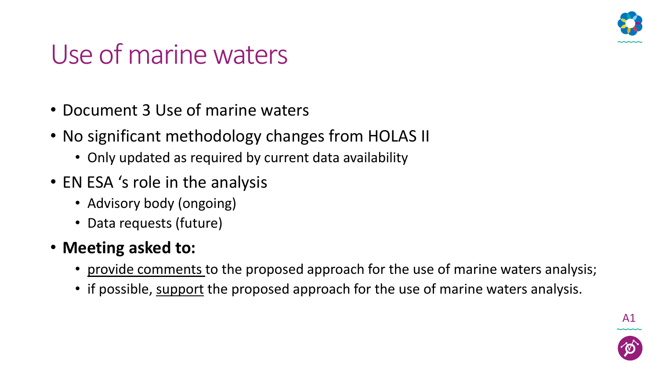

#### Use of marine waters

- Document 3 Use of marine waters
- No significant methodology changes from HOLAS II
	- Only updated as required by current data availability
- EN ESA 's role in the analysis
	- Advisory body (ongoing)
	- Data requests (future)

#### • **Meeting asked to:**

- provide comments to the proposed approach for the use of marine waters analysis;
- if possible, support the proposed approach for the use of marine waters analysis.

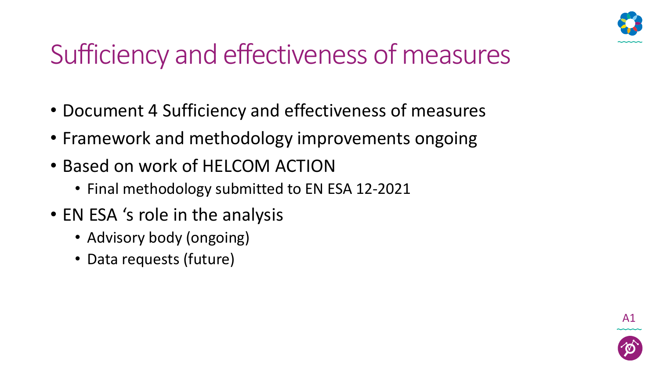

### Sufficiency and effectiveness of measures

- Document 4 Sufficiency and effectiveness of measures
- Framework and methodology improvements ongoing
- Based on work of HELCOM ACTION
	- Final methodology submitted to EN ESA 12-2021
- EN ESA 's role in the analysis
	- Advisory body (ongoing)
	- Data requests (future)

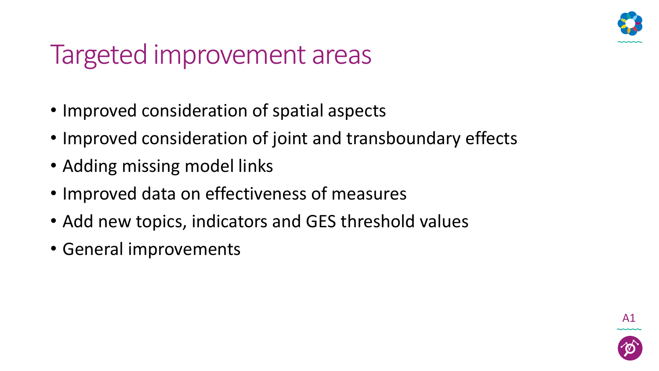

#### Targeted improvement areas

- Improved consideration of spatial aspects
- Improved consideration of joint and transboundary effects
- Adding missing model links
- Improved data on effectiveness of measures
- Add new topics, indicators and GES threshold values
- General improvements

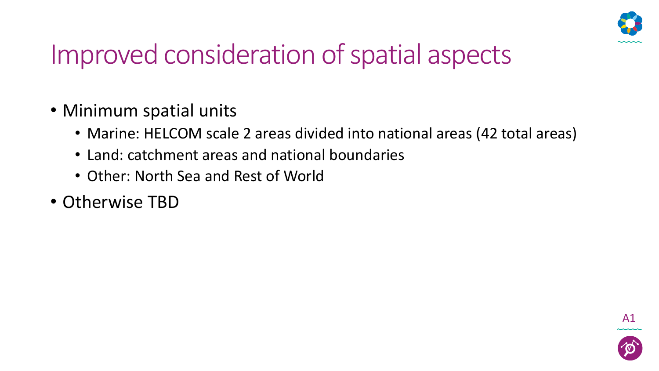

### Improved consideration of spatial aspects

- Minimum spatial units
	- Marine: HELCOM scale 2 areas divided into national areas (42 total areas)
	- Land: catchment areas and national boundaries
	- Other: North Sea and Rest of World
- Otherwise TBD

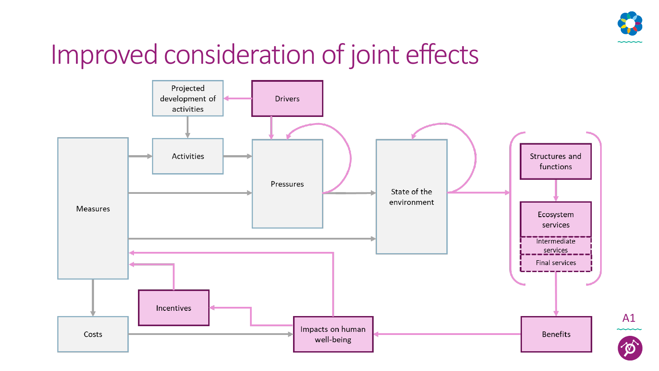

#### Improved consideration of joint effects





A1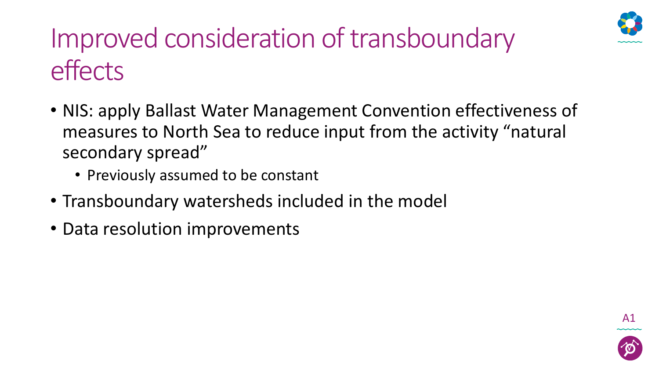

# Improved consideration of transboundary effects

- NIS: apply Ballast Water Management Convention effectiveness of measures to North Sea to reduce input from the activity "natural secondary spread"
	- Previously assumed to be constant
- Transboundary watersheds included in the model
- Data resolution improvements

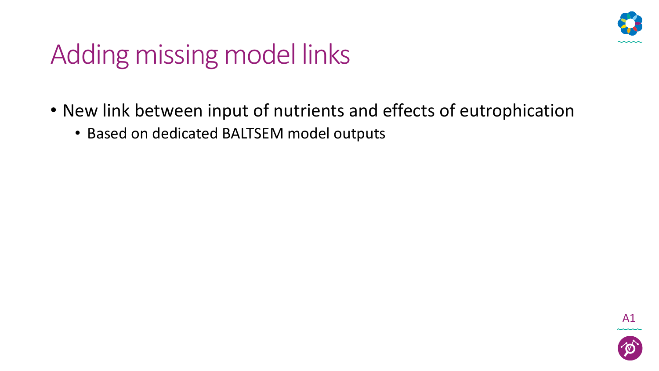

#### Adding missing model links

- New link between input of nutrients and effects of eutrophication
	- Based on dedicated BALTSEM model outputs

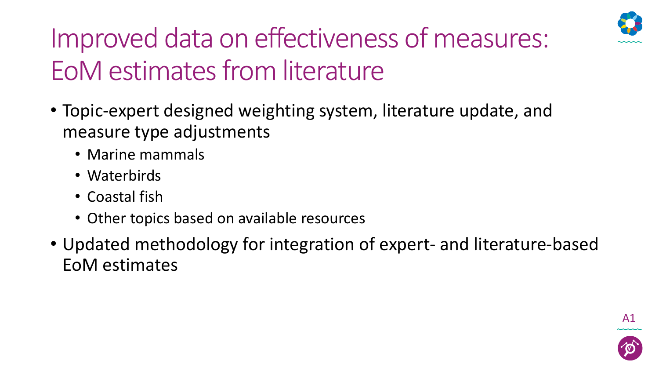

# Improved data on effectiveness of measures: EoM estimates from literature

- Topic-expert designed weighting system, literature update, and measure type adjustments
	- Marine mammals
	- Waterbirds
	- Coastal fish
	- Other topics based on available resources
- Updated methodology for integration of expert- and literature-based EoM estimates



A1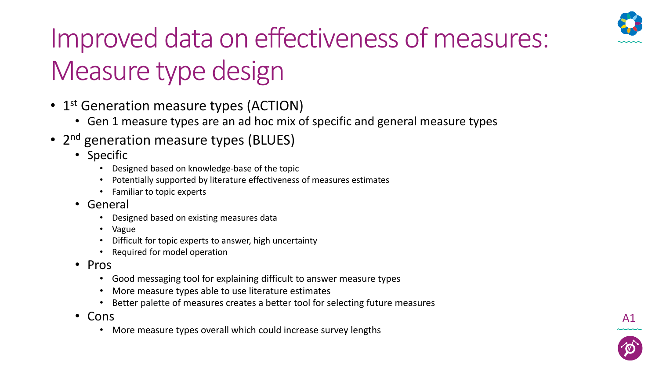

# Improved data on effectiveness of measures: Measure type design

- 1<sup>st</sup> Generation measure types (ACTION)
	- Gen 1 measure types are an ad hoc mix of specific and general measure types
- 2<sup>nd</sup> generation measure types (BLUES)
	- Specific
		- Designed based on knowledge-base of the topic
		- Potentially supported by literature effectiveness of measures estimates
		- Familiar to topic experts
	- General
		- Designed based on existing measures data
		- Vague
		- Difficult for topic experts to answer, high uncertainty
		- Required for model operation
	- Pros
		- Good messaging tool for explaining difficult to answer measure types
		- More measure types able to use literature estimates
		- Better palette of measures creates a better tool for selecting future measures
	- Cons
		- More measure types overall which could increase survey lengths



A1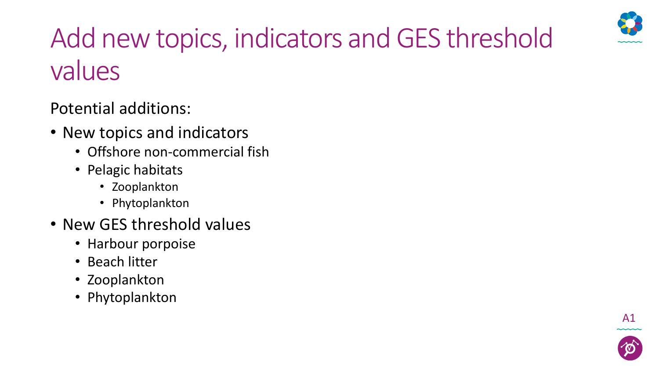

# Add new topics, indicators and GES threshold values

Potential additions:

- New topics and indicators
	- Offshore non-commercial fish
	- Pelagic habitats
		- Zooplankton
		- Phytoplankton
- New GES threshold values
	- Harbour porpoise
	- Beach litter
	- Zooplankton
	- Phytoplankton

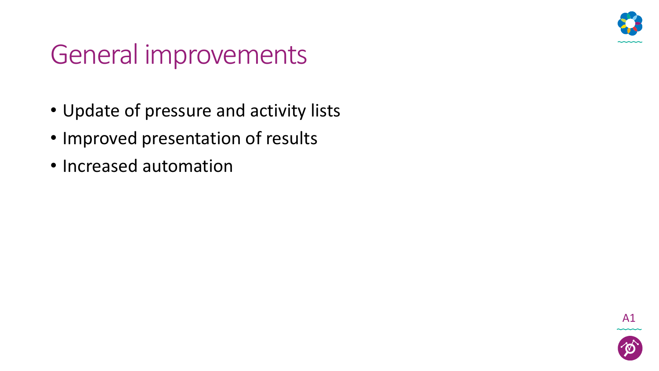

#### General improvements

- Update of pressure and activity lists
- Improved presentation of results
- Increased automation

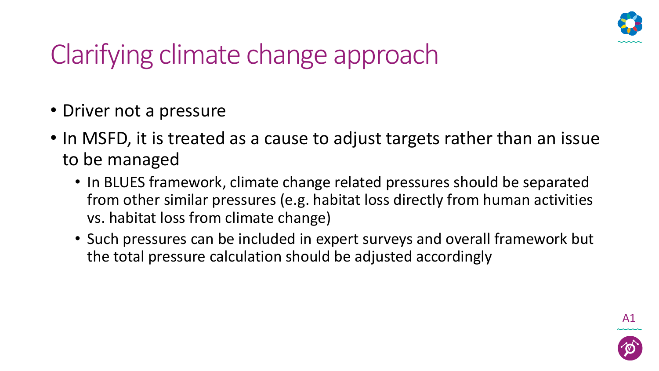

# Clarifying climate change approach

- Driver not a pressure
- In MSFD, it is treated as a cause to adjust targets rather than an issue to be managed
	- In BLUES framework, climate change related pressures should be separated from other similar pressures (e.g. habitat loss directly from human activities vs. habitat loss from climate change)
	- Such pressures can be included in expert surveys and overall framework but the total pressure calculation should be adjusted accordingly

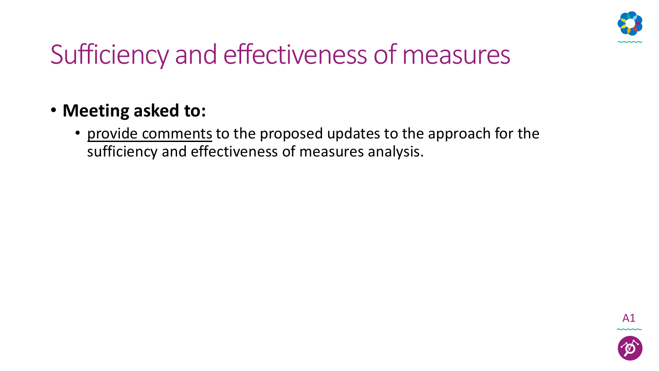

### Sufficiency and effectiveness of measures

- **Meeting asked to:**
	- provide comments to the proposed updates to the approach for the sufficiency and effectiveness of measures analysis.